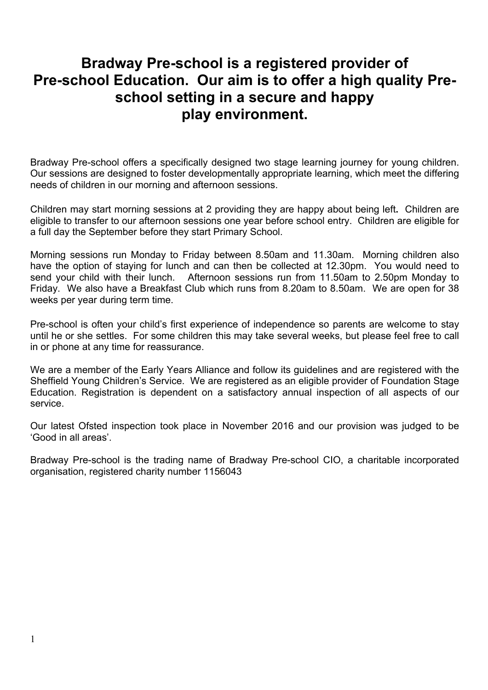# **Bradway Pre-school is a registered provider of Pre-school Education. Our aim is to offer a high quality Preschool setting in a secure and happy play environment.**

Bradway Pre-school offers a specifically designed two stage learning journey for young children. Our sessions are designed to foster developmentally appropriate learning, which meet the differing needs of children in our morning and afternoon sessions.

Children may start morning sessions at 2 providing they are happy about being left**.** Children are eligible to transfer to our afternoon sessions one year before school entry. Children are eligible for a full day the September before they start Primary School.

Morning sessions run Monday to Friday between 8.50am and 11.30am. Morning children also have the option of staying for lunch and can then be collected at 12.30pm. You would need to send your child with their lunch. Afternoon sessions run from 11.50am to 2.50pm Monday to Friday. We also have a Breakfast Club which runs from 8.20am to 8.50am. We are open for 38 weeks per year during term time.

Pre-school is often your child's first experience of independence so parents are welcome to stay until he or she settles. For some children this may take several weeks, but please feel free to call in or phone at any time for reassurance.

We are a member of the Early Years Alliance and follow its guidelines and are registered with the Sheffield Young Children's Service. We are registered as an eligible provider of Foundation Stage Education. Registration is dependent on a satisfactory annual inspection of all aspects of our service.

Our latest Ofsted inspection took place in November 2016 and our provision was judged to be 'Good in all areas'.

Bradway Pre-school is the trading name of Bradway Pre-school CIO, a charitable incorporated organisation, registered charity number 1156043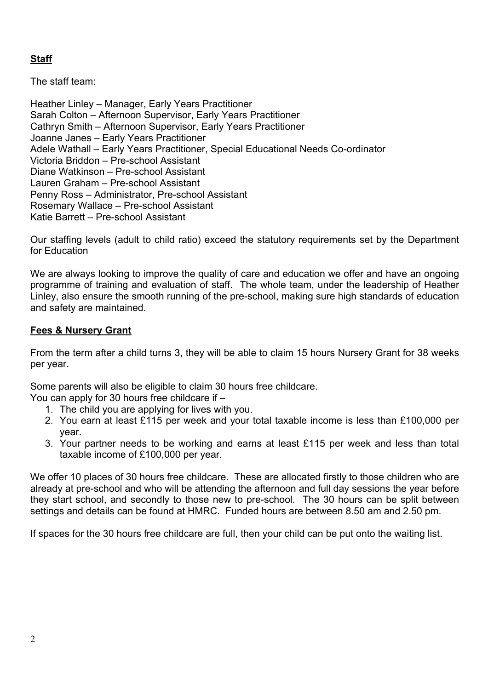# **Staff**

The staff team:

Heather Linley – Manager, Early Years Practitioner Sarah Colton – Afternoon Supervisor, Early Years Practitioner Cathryn Smith – Afternoon Supervisor, Early Years Practitioner Joanne Janes – Early Years Practitioner Adele Wathall – Early Years Practitioner, Special Educational Needs Co-ordinator Victoria Briddon – Pre-school Assistant Diane Watkinson – Pre-school Assistant Lauren Graham – Pre-school Assistant Penny Ross – Administrator, Pre-school Assistant Rosemary Wallace – Pre-school Assistant Katie Barrett – Pre-school Assistant

Our staffing levels (adult to child ratio) exceed the statutory requirements set by the Department for Education

We are always looking to improve the quality of care and education we offer and have an ongoing programme of training and evaluation of staff. The whole team, under the leadership of Heather Linley, also ensure the smooth running of the pre-school, making sure high standards of education and safety are maintained.

# **Fees & Nursery Grant**

From the term after a child turns 3, they will be able to claim 15 hours Nursery Grant for 38 weeks per year.

Some parents will also be eligible to claim 30 hours free childcare.

You can apply for 30 hours free childcare if –

- 1. The child you are applying for lives with you.
- 2. You earn at least £115 per week and your total taxable income is less than £100,000 per year.
- 3. Your partner needs to be working and earns at least £115 per week and less than total taxable income of £100,000 per year.

We offer 10 places of 30 hours free childcare. These are allocated firstly to those children who are already at pre-school and who will be attending the afternoon and full day sessions the year before they start school, and secondly to those new to pre-school. The 30 hours can be split between settings and details can be found at HMRC. Funded hours are between 8.50 am and 2.50 pm.

If spaces for the 30 hours free childcare are full, then your child can be put onto the waiting list.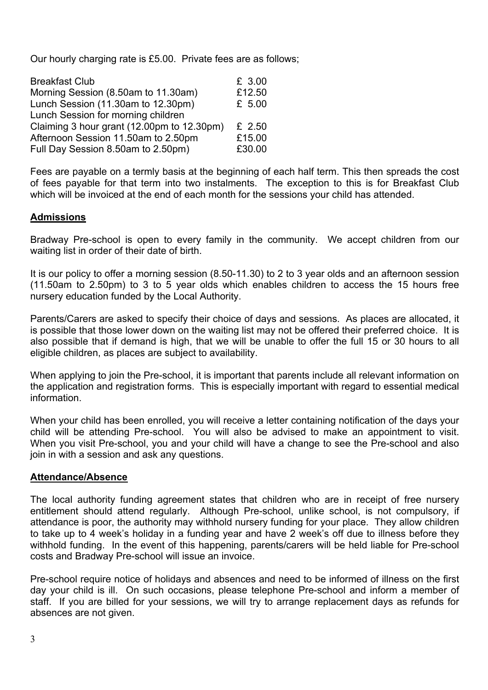Our hourly charging rate is £5.00. Private fees are as follows;

| <b>Breakfast Club</b>                      | £ 3.00   |
|--------------------------------------------|----------|
| Morning Session (8.50am to 11.30am)        | £12.50   |
| Lunch Session (11.30am to 12.30pm)         | £ 5.00   |
| Lunch Session for morning children         |          |
| Claiming 3 hour grant (12.00pm to 12.30pm) | £ $2.50$ |
| Afternoon Session 11.50am to 2.50pm        | £15.00   |
| Full Day Session 8.50am to 2.50pm)         | £30.00   |

Fees are payable on a termly basis at the beginning of each half term. This then spreads the cost of fees payable for that term into two instalments. The exception to this is for Breakfast Club which will be invoiced at the end of each month for the sessions your child has attended.

## **Admissions**

Bradway Pre-school is open to every family in the community. We accept children from our waiting list in order of their date of birth.

It is our policy to offer a morning session (8.50-11.30) to 2 to 3 year olds and an afternoon session (11.50am to 2.50pm) to 3 to 5 year olds which enables children to access the 15 hours free nursery education funded by the Local Authority.

Parents/Carers are asked to specify their choice of days and sessions. As places are allocated, it is possible that those lower down on the waiting list may not be offered their preferred choice. It is also possible that if demand is high, that we will be unable to offer the full 15 or 30 hours to all eligible children, as places are subject to availability.

When applying to join the Pre-school, it is important that parents include all relevant information on the application and registration forms. This is especially important with regard to essential medical information.

When your child has been enrolled, you will receive a letter containing notification of the days your child will be attending Pre-school. You will also be advised to make an appointment to visit. When you visit Pre-school, you and your child will have a change to see the Pre-school and also join in with a session and ask any questions.

#### **Attendance/Absence**

The local authority funding agreement states that children who are in receipt of free nursery entitlement should attend regularly. Although Pre-school, unlike school, is not compulsory, if attendance is poor, the authority may withhold nursery funding for your place. They allow children to take up to 4 week's holiday in a funding year and have 2 week's off due to illness before they withhold funding. In the event of this happening, parents/carers will be held liable for Pre-school costs and Bradway Pre-school will issue an invoice.

Pre-school require notice of holidays and absences and need to be informed of illness on the first day your child is ill. On such occasions, please telephone Pre-school and inform a member of staff. If you are billed for your sessions, we will try to arrange replacement days as refunds for absences are not given.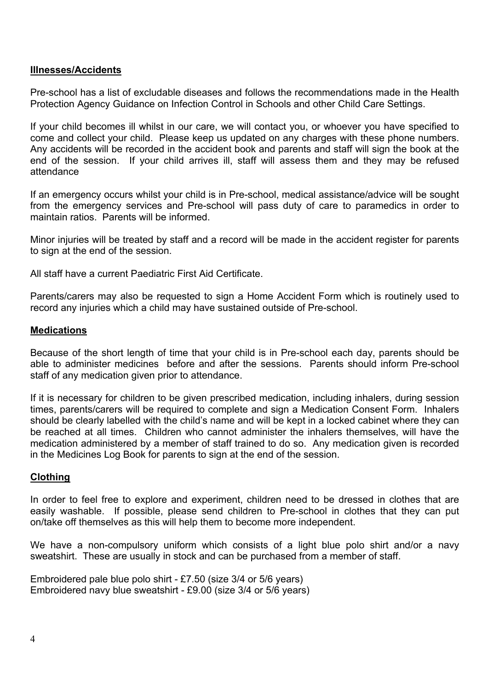## **Illnesses/Accidents**

Pre-school has a list of excludable diseases and follows the recommendations made in the Health Protection Agency Guidance on Infection Control in Schools and other Child Care Settings.

If your child becomes ill whilst in our care, we will contact you, or whoever you have specified to come and collect your child. Please keep us updated on any charges with these phone numbers. Any accidents will be recorded in the accident book and parents and staff will sign the book at the end of the session. If your child arrives ill, staff will assess them and they may be refused attendance

If an emergency occurs whilst your child is in Pre-school, medical assistance/advice will be sought from the emergency services and Pre-school will pass duty of care to paramedics in order to maintain ratios. Parents will be informed.

Minor injuries will be treated by staff and a record will be made in the accident register for parents to sign at the end of the session.

All staff have a current Paediatric First Aid Certificate.

Parents/carers may also be requested to sign a Home Accident Form which is routinely used to record any injuries which a child may have sustained outside of Pre-school.

#### **Medications**

Because of the short length of time that your child is in Pre-school each day, parents should be able to administer medicines before and after the sessions. Parents should inform Pre-school staff of any medication given prior to attendance.

If it is necessary for children to be given prescribed medication, including inhalers, during session times, parents/carers will be required to complete and sign a Medication Consent Form. Inhalers should be clearly labelled with the child's name and will be kept in a locked cabinet where they can be reached at all times. Children who cannot administer the inhalers themselves, will have the medication administered by a member of staff trained to do so. Any medication given is recorded in the Medicines Log Book for parents to sign at the end of the session.

## **Clothing**

In order to feel free to explore and experiment, children need to be dressed in clothes that are easily washable. If possible, please send children to Pre-school in clothes that they can put on/take off themselves as this will help them to become more independent.

We have a non-compulsory uniform which consists of a light blue polo shirt and/or a navy sweatshirt. These are usually in stock and can be purchased from a member of staff.

Embroidered pale blue polo shirt - £7.50 (size 3/4 or 5/6 years) Embroidered navy blue sweatshirt - £9.00 (size 3/4 or 5/6 years)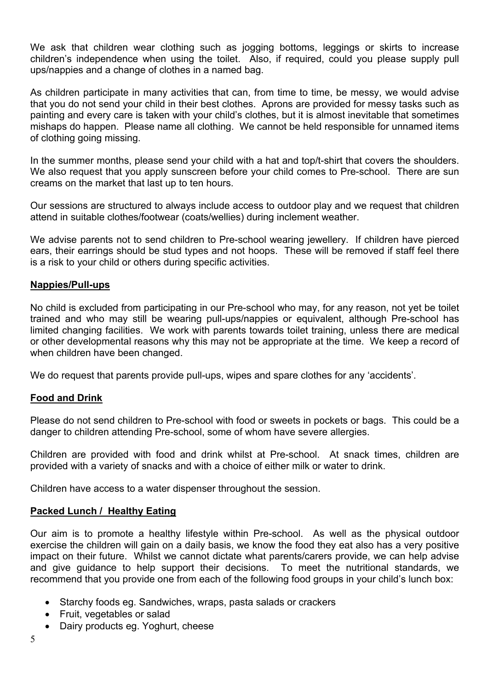We ask that children wear clothing such as jogging bottoms, leggings or skirts to increase children's independence when using the toilet. Also, if required, could you please supply pull ups/nappies and a change of clothes in a named bag.

As children participate in many activities that can, from time to time, be messy, we would advise that you do not send your child in their best clothes. Aprons are provided for messy tasks such as painting and every care is taken with your child's clothes, but it is almost inevitable that sometimes mishaps do happen. Please name all clothing. We cannot be held responsible for unnamed items of clothing going missing.

In the summer months, please send your child with a hat and top/t-shirt that covers the shoulders. We also request that you apply sunscreen before your child comes to Pre-school. There are sun creams on the market that last up to ten hours.

Our sessions are structured to always include access to outdoor play and we request that children attend in suitable clothes/footwear (coats/wellies) during inclement weather.

We advise parents not to send children to Pre-school wearing jewellery. If children have pierced ears, their earrings should be stud types and not hoops. These will be removed if staff feel there is a risk to your child or others during specific activities.

#### **Nappies/Pull-ups**

No child is excluded from participating in our Pre-school who may, for any reason, not yet be toilet trained and who may still be wearing pull-ups/nappies or equivalent, although Pre-school has limited changing facilities. We work with parents towards toilet training, unless there are medical or other developmental reasons why this may not be appropriate at the time. We keep a record of when children have been changed.

We do request that parents provide pull-ups, wipes and spare clothes for any 'accidents'.

#### **Food and Drink**

Please do not send children to Pre-school with food or sweets in pockets or bags. This could be a danger to children attending Pre-school, some of whom have severe allergies.

Children are provided with food and drink whilst at Pre-school. At snack times, children are provided with a variety of snacks and with a choice of either milk or water to drink.

Children have access to a water dispenser throughout the session.

#### **Packed Lunch / Healthy Eating**

Our aim is to promote a healthy lifestyle within Pre-school. As well as the physical outdoor exercise the children will gain on a daily basis, we know the food they eat also has a very positive impact on their future. Whilst we cannot dictate what parents/carers provide, we can help advise and give guidance to help support their decisions. To meet the nutritional standards, we recommend that you provide one from each of the following food groups in your child's lunch box:

- Starchy foods eg. Sandwiches, wraps, pasta salads or crackers
- Fruit, vegetables or salad
- Dairy products eg. Yoghurt, cheese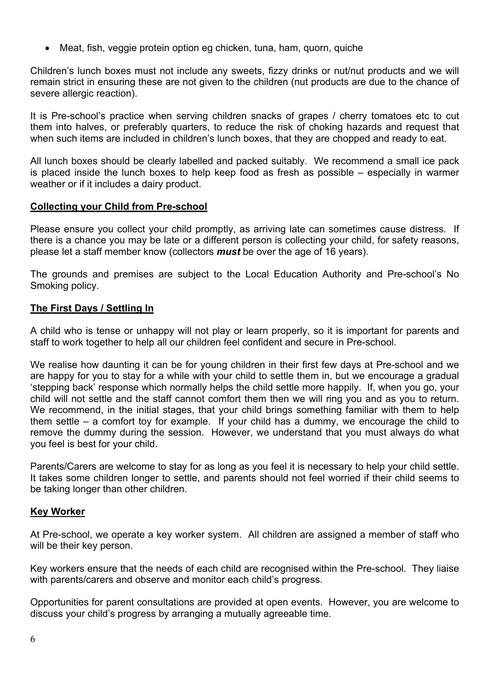• Meat, fish, veggie protein option eg chicken, tuna, ham, quorn, quiche

Children's lunch boxes must not include any sweets, fizzy drinks or nut/nut products and we will remain strict in ensuring these are not given to the children (nut products are due to the chance of severe allergic reaction).

It is Pre-school's practice when serving children snacks of grapes / cherry tomatoes etc to cut them into halves, or preferably quarters, to reduce the risk of choking hazards and request that when such items are included in children's lunch boxes, that they are chopped and ready to eat.

All lunch boxes should be clearly labelled and packed suitably. We recommend a small ice pack is placed inside the lunch boxes to help keep food as fresh as possible – especially in warmer weather or if it includes a dairy product.

## **Collecting your Child from Pre-school**

Please ensure you collect your child promptly, as arriving late can sometimes cause distress. If there is a chance you may be late or a different person is collecting your child, for safety reasons, please let a staff member know (collectors *must* be over the age of 16 years).

The grounds and premises are subject to the Local Education Authority and Pre-school's No Smoking policy.

## **The First Days / Settling In**

A child who is tense or unhappy will not play or learn properly, so it is important for parents and staff to work together to help all our children feel confident and secure in Pre-school.

We realise how daunting it can be for young children in their first few days at Pre-school and we are happy for you to stay for a while with your child to settle them in, but we encourage a gradual 'stepping back' response which normally helps the child settle more happily. If, when you go, your child will not settle and the staff cannot comfort them then we will ring you and as you to return. We recommend, in the initial stages, that your child brings something familiar with them to help them settle – a comfort toy for example. If your child has a dummy, we encourage the child to remove the dummy during the session. However, we understand that you must always do what you feel is best for your child.

Parents/Carers are welcome to stay for as long as you feel it is necessary to help your child settle. It takes some children longer to settle, and parents should not feel worried if their child seems to be taking longer than other children.

#### **Key Worker**

At Pre-school, we operate a key worker system. All children are assigned a member of staff who will be their key person.

Key workers ensure that the needs of each child are recognised within the Pre-school. They liaise with parents/carers and observe and monitor each child's progress.

Opportunities for parent consultations are provided at open events. However, you are welcome to discuss your child's progress by arranging a mutually agreeable time.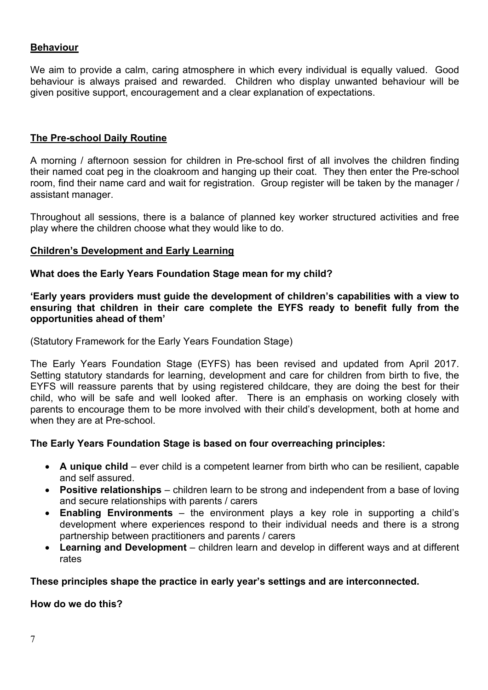## **Behaviour**

We aim to provide a calm, caring atmosphere in which every individual is equally valued. Good behaviour is always praised and rewarded. Children who display unwanted behaviour will be given positive support, encouragement and a clear explanation of expectations.

## **The Pre-school Daily Routine**

A morning / afternoon session for children in Pre-school first of all involves the children finding their named coat peg in the cloakroom and hanging up their coat. They then enter the Pre-school room, find their name card and wait for registration. Group register will be taken by the manager / assistant manager.

Throughout all sessions, there is a balance of planned key worker structured activities and free play where the children choose what they would like to do.

## **Children's Development and Early Learning**

## **What does the Early Years Foundation Stage mean for my child?**

**'Early years providers must guide the development of children's capabilities with a view to ensuring that children in their care complete the EYFS ready to benefit fully from the opportunities ahead of them'**

(Statutory Framework for the Early Years Foundation Stage)

The Early Years Foundation Stage (EYFS) has been revised and updated from April 2017. Setting statutory standards for learning, development and care for children from birth to five, the EYFS will reassure parents that by using registered childcare, they are doing the best for their child, who will be safe and well looked after. There is an emphasis on working closely with parents to encourage them to be more involved with their child's development, both at home and when they are at Pre-school.

## **The Early Years Foundation Stage is based on four overreaching principles:**

- **A unique child** ever child is a competent learner from birth who can be resilient, capable and self assured.
- **Positive relationships** children learn to be strong and independent from a base of loving and secure relationships with parents / carers
- **Enabling Environments** the environment plays a key role in supporting a child's development where experiences respond to their individual needs and there is a strong partnership between practitioners and parents / carers
- **Learning and Development** children learn and develop in different ways and at different rates

## **These principles shape the practice in early year's settings and are interconnected.**

**How do we do this?**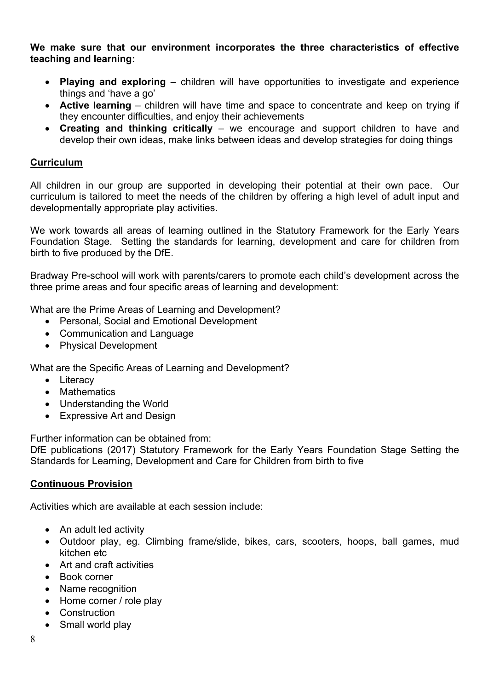**We make sure that our environment incorporates the three characteristics of effective teaching and learning:**

- **Playing and exploring** children will have opportunities to investigate and experience things and 'have a go'
- **Active learning** children will have time and space to concentrate and keep on trying if they encounter difficulties, and enjoy their achievements
- **Creating and thinking critically** we encourage and support children to have and develop their own ideas, make links between ideas and develop strategies for doing things

## **Curriculum**

All children in our group are supported in developing their potential at their own pace. Our curriculum is tailored to meet the needs of the children by offering a high level of adult input and developmentally appropriate play activities.

We work towards all areas of learning outlined in the Statutory Framework for the Early Years Foundation Stage. Setting the standards for learning, development and care for children from birth to five produced by the DfE.

Bradway Pre-school will work with parents/carers to promote each child's development across the three prime areas and four specific areas of learning and development:

What are the Prime Areas of Learning and Development?

- Personal, Social and Emotional Development
- Communication and Language
- Physical Development

What are the Specific Areas of Learning and Development?

- Literacy
- Mathematics
- Understanding the World
- Expressive Art and Design

Further information can be obtained from:

DfE publications (2017) Statutory Framework for the Early Years Foundation Stage Setting the Standards for Learning, Development and Care for Children from birth to five

#### **Continuous Provision**

Activities which are available at each session include:

- An adult led activity
- Outdoor play, eg. Climbing frame/slide, bikes, cars, scooters, hoops, ball games, mud kitchen etc
- Art and craft activities
- Book corner
- Name recognition
- Home corner / role play
- Construction
- Small world play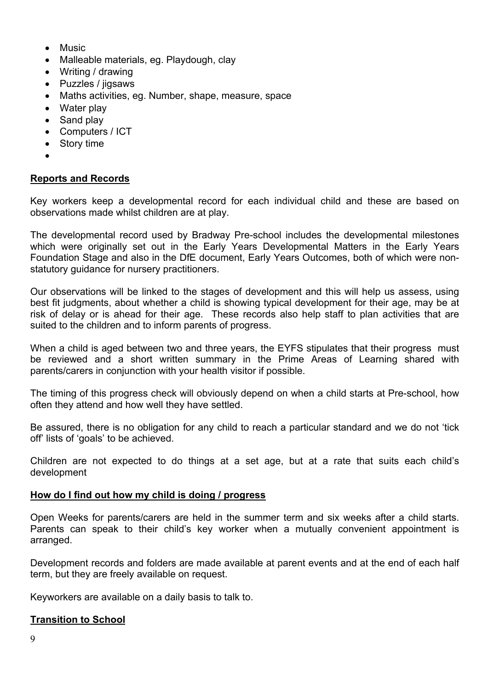- Music
- Malleable materials, eg. Playdough, clay
- Writing / drawing
- Puzzles / jigsaws
- Maths activities, eg. Number, shape, measure, space
- Water play
- Sand play
- Computers / ICT
- Story time
- •

## **Reports and Records**

Key workers keep a developmental record for each individual child and these are based on observations made whilst children are at play.

The developmental record used by Bradway Pre-school includes the developmental milestones which were originally set out in the Early Years Developmental Matters in the Early Years Foundation Stage and also in the DfE document, Early Years Outcomes, both of which were nonstatutory guidance for nursery practitioners.

Our observations will be linked to the stages of development and this will help us assess, using best fit judgments, about whether a child is showing typical development for their age, may be at risk of delay or is ahead for their age. These records also help staff to plan activities that are suited to the children and to inform parents of progress.

When a child is aged between two and three years, the EYFS stipulates that their progress must be reviewed and a short written summary in the Prime Areas of Learning shared with parents/carers in conjunction with your health visitor if possible.

The timing of this progress check will obviously depend on when a child starts at Pre-school, how often they attend and how well they have settled.

Be assured, there is no obligation for any child to reach a particular standard and we do not 'tick off' lists of 'goals' to be achieved.

Children are not expected to do things at a set age, but at a rate that suits each child's development

#### **How do I find out how my child is doing / progress**

Open Weeks for parents/carers are held in the summer term and six weeks after a child starts. Parents can speak to their child's key worker when a mutually convenient appointment is arranged.

Development records and folders are made available at parent events and at the end of each half term, but they are freely available on request.

Keyworkers are available on a daily basis to talk to.

#### **Transition to School**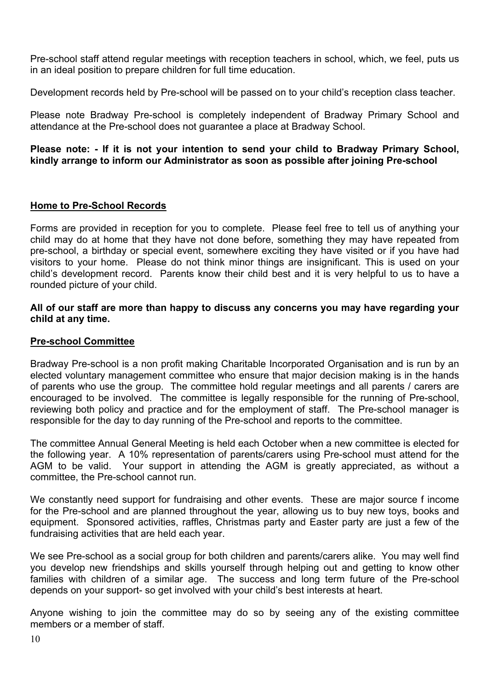Pre-school staff attend regular meetings with reception teachers in school, which, we feel, puts us in an ideal position to prepare children for full time education.

Development records held by Pre-school will be passed on to your child's reception class teacher.

Please note Bradway Pre-school is completely independent of Bradway Primary School and attendance at the Pre-school does not guarantee a place at Bradway School.

## **Please note: - If it is not your intention to send your child to Bradway Primary School, kindly arrange to inform our Administrator as soon as possible after joining Pre-school**

## **Home to Pre-School Records**

Forms are provided in reception for you to complete. Please feel free to tell us of anything your child may do at home that they have not done before, something they may have repeated from pre-school, a birthday or special event, somewhere exciting they have visited or if you have had visitors to your home. Please do not think minor things are insignificant. This is used on your child's development record. Parents know their child best and it is very helpful to us to have a rounded picture of your child.

#### **All of our staff are more than happy to discuss any concerns you may have regarding your child at any time.**

## **Pre-school Committee**

Bradway Pre-school is a non profit making Charitable Incorporated Organisation and is run by an elected voluntary management committee who ensure that major decision making is in the hands of parents who use the group. The committee hold regular meetings and all parents / carers are encouraged to be involved. The committee is legally responsible for the running of Pre-school, reviewing both policy and practice and for the employment of staff. The Pre-school manager is responsible for the day to day running of the Pre-school and reports to the committee.

The committee Annual General Meeting is held each October when a new committee is elected for the following year. A 10% representation of parents/carers using Pre-school must attend for the AGM to be valid. Your support in attending the AGM is greatly appreciated, as without a committee, the Pre-school cannot run.

We constantly need support for fundraising and other events. These are major source f income for the Pre-school and are planned throughout the year, allowing us to buy new toys, books and equipment. Sponsored activities, raffles, Christmas party and Easter party are just a few of the fundraising activities that are held each year.

We see Pre-school as a social group for both children and parents/carers alike. You may well find you develop new friendships and skills yourself through helping out and getting to know other families with children of a similar age. The success and long term future of the Pre-school depends on your support- so get involved with your child's best interests at heart.

Anyone wishing to join the committee may do so by seeing any of the existing committee members or a member of staff.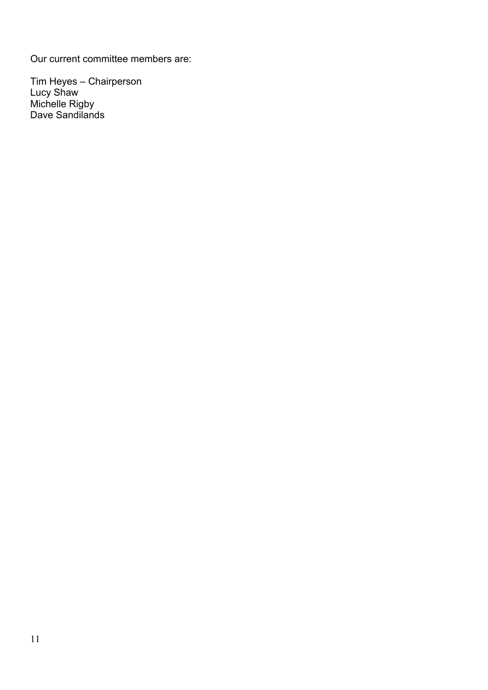Our current committee members are:

Tim Heyes – Chairperson Lucy Shaw Michelle Rigby Dave Sandilands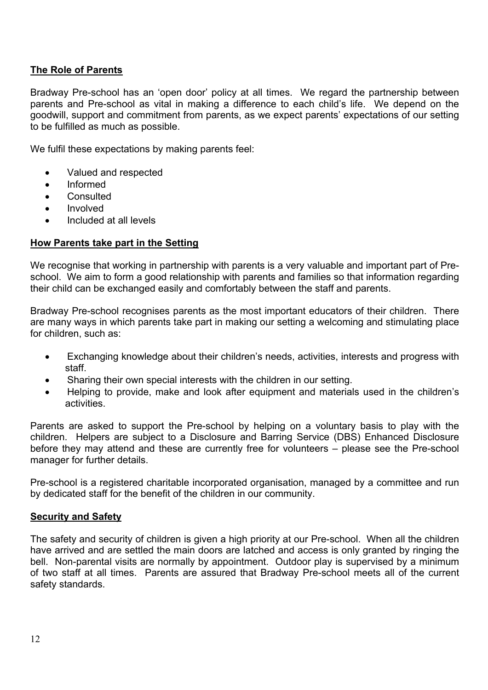## **The Role of Parents**

Bradway Pre-school has an 'open door' policy at all times. We regard the partnership between parents and Pre-school as vital in making a difference to each child's life. We depend on the goodwill, support and commitment from parents, as we expect parents' expectations of our setting to be fulfilled as much as possible.

We fulfil these expectations by making parents feel:

- Valued and respected
- Informed
- Consulted
- Involved
- Included at all levels

## **How Parents take part in the Setting**

We recognise that working in partnership with parents is a very valuable and important part of Preschool. We aim to form a good relationship with parents and families so that information regarding their child can be exchanged easily and comfortably between the staff and parents.

Bradway Pre-school recognises parents as the most important educators of their children. There are many ways in which parents take part in making our setting a welcoming and stimulating place for children, such as:

- Exchanging knowledge about their children's needs, activities, interests and progress with staff.
- Sharing their own special interests with the children in our setting.
- Helping to provide, make and look after equipment and materials used in the children's activities.

Parents are asked to support the Pre-school by helping on a voluntary basis to play with the children. Helpers are subject to a Disclosure and Barring Service (DBS) Enhanced Disclosure before they may attend and these are currently free for volunteers – please see the Pre-school manager for further details.

Pre-school is a registered charitable incorporated organisation, managed by a committee and run by dedicated staff for the benefit of the children in our community.

## **Security and Safety**

The safety and security of children is given a high priority at our Pre-school. When all the children have arrived and are settled the main doors are latched and access is only granted by ringing the bell. Non-parental visits are normally by appointment. Outdoor play is supervised by a minimum of two staff at all times. Parents are assured that Bradway Pre-school meets all of the current safety standards.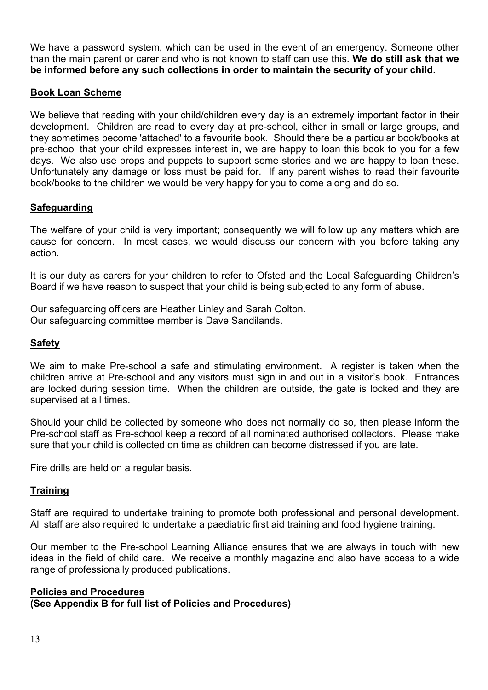We have a password system, which can be used in the event of an emergency. Someone other than the main parent or carer and who is not known to staff can use this. **We do still ask that we be informed before any such collections in order to maintain the security of your child.**

## **Book Loan Scheme**

We believe that reading with your child/children every day is an extremely important factor in their development. Children are read to every day at pre-school, either in small or large groups, and they sometimes become 'attached' to a favourite book. Should there be a particular book/books at pre-school that your child expresses interest in, we are happy to loan this book to you for a few days. We also use props and puppets to support some stories and we are happy to loan these. Unfortunately any damage or loss must be paid for. If any parent wishes to read their favourite book/books to the children we would be very happy for you to come along and do so.

#### **Safeguarding**

The welfare of your child is very important; consequently we will follow up any matters which are cause for concern. In most cases, we would discuss our concern with you before taking any action.

It is our duty as carers for your children to refer to Ofsted and the Local Safeguarding Children's Board if we have reason to suspect that your child is being subjected to any form of abuse.

Our safeguarding officers are Heather Linley and Sarah Colton. Our safeguarding committee member is Dave Sandilands.

## **Safety**

We aim to make Pre-school a safe and stimulating environment. A register is taken when the children arrive at Pre-school and any visitors must sign in and out in a visitor's book. Entrances are locked during session time. When the children are outside, the gate is locked and they are supervised at all times.

Should your child be collected by someone who does not normally do so, then please inform the Pre-school staff as Pre-school keep a record of all nominated authorised collectors. Please make sure that your child is collected on time as children can become distressed if you are late.

Fire drills are held on a regular basis.

#### **Training**

Staff are required to undertake training to promote both professional and personal development. All staff are also required to undertake a paediatric first aid training and food hygiene training.

Our member to the Pre-school Learning Alliance ensures that we are always in touch with new ideas in the field of child care. We receive a monthly magazine and also have access to a wide range of professionally produced publications.

#### **Policies and Procedures**

**(See Appendix B for full list of Policies and Procedures)**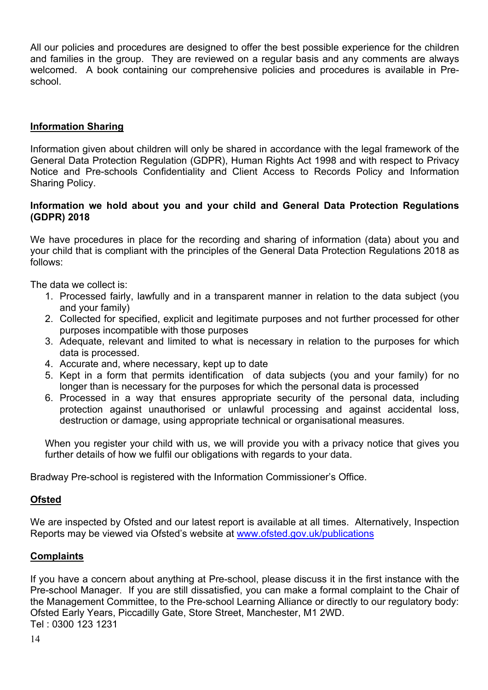All our policies and procedures are designed to offer the best possible experience for the children and families in the group. They are reviewed on a regular basis and any comments are always welcomed. A book containing our comprehensive policies and procedures is available in Preschool.

## **Information Sharing**

Information given about children will only be shared in accordance with the legal framework of the General Data Protection Regulation (GDPR), Human Rights Act 1998 and with respect to Privacy Notice and Pre-schools Confidentiality and Client Access to Records Policy and Information Sharing Policy.

## **Information we hold about you and your child and General Data Protection Regulations (GDPR) 2018**

We have procedures in place for the recording and sharing of information (data) about you and your child that is compliant with the principles of the General Data Protection Regulations 2018 as follows:

The data we collect is:

- 1. Processed fairly, lawfully and in a transparent manner in relation to the data subject (you and your family)
- 2. Collected for specified, explicit and legitimate purposes and not further processed for other purposes incompatible with those purposes
- 3. Adequate, relevant and limited to what is necessary in relation to the purposes for which data is processed.
- 4. Accurate and, where necessary, kept up to date
- 5. Kept in a form that permits identification of data subjects (you and your family) for no longer than is necessary for the purposes for which the personal data is processed
- 6. Processed in a way that ensures appropriate security of the personal data, including protection against unauthorised or unlawful processing and against accidental loss, destruction or damage, using appropriate technical or organisational measures.

When you register your child with us, we will provide you with a privacy notice that gives you further details of how we fulfil our obligations with regards to your data.

Bradway Pre-school is registered with the Information Commissioner's Office.

#### **Ofsted**

We are inspected by Ofsted and our latest report is available at all times. Alternatively, Inspection Reports may be viewed via Ofsted's website at www.ofsted.gov.uk/publications

#### **Complaints**

If you have a concern about anything at Pre-school, please discuss it in the first instance with the Pre-school Manager. If you are still dissatisfied, you can make a formal complaint to the Chair of the Management Committee, to the Pre-school Learning Alliance or directly to our regulatory body: Ofsted Early Years, Piccadilly Gate, Store Street, Manchester, M1 2WD. Tel : 0300 123 1231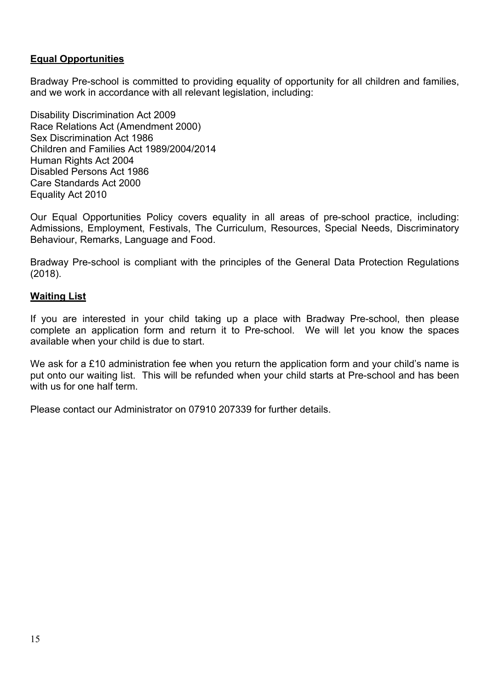## **Equal Opportunities**

Bradway Pre-school is committed to providing equality of opportunity for all children and families, and we work in accordance with all relevant legislation, including:

Disability Discrimination Act 2009 Race Relations Act (Amendment 2000) Sex Discrimination Act 1986 Children and Families Act 1989/2004/2014 Human Rights Act 2004 Disabled Persons Act 1986 Care Standards Act 2000 Equality Act 2010

Our Equal Opportunities Policy covers equality in all areas of pre-school practice, including: Admissions, Employment, Festivals, The Curriculum, Resources, Special Needs, Discriminatory Behaviour, Remarks, Language and Food.

Bradway Pre-school is compliant with the principles of the General Data Protection Regulations (2018).

#### **Waiting List**

If you are interested in your child taking up a place with Bradway Pre-school, then please complete an application form and return it to Pre-school. We will let you know the spaces available when your child is due to start.

We ask for a £10 administration fee when you return the application form and your child's name is put onto our waiting list. This will be refunded when your child starts at Pre-school and has been with us for one half term.

Please contact our Administrator on 07910 207339 for further details.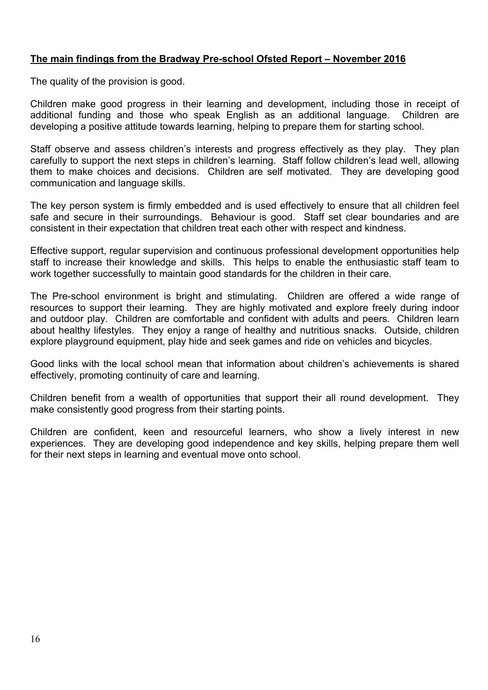## **The main findings from the Bradway Pre-school Ofsted Report – November 2016**

The quality of the provision is good.

Children make good progress in their learning and development, including those in receipt of additional funding and those who speak English as an additional language. Children are developing a positive attitude towards learning, helping to prepare them for starting school.

Staff observe and assess children's interests and progress effectively as they play. They plan carefully to support the next steps in children's learning. Staff follow children's lead well, allowing them to make choices and decisions. Children are self motivated. They are developing good communication and language skills.

The key person system is firmly embedded and is used effectively to ensure that all children feel safe and secure in their surroundings. Behaviour is good. Staff set clear boundaries and are consistent in their expectation that children treat each other with respect and kindness.

Effective support, regular supervision and continuous professional development opportunities help staff to increase their knowledge and skills. This helps to enable the enthusiastic staff team to work together successfully to maintain good standards for the children in their care.

The Pre-school environment is bright and stimulating. Children are offered a wide range of resources to support their learning. They are highly motivated and explore freely during indoor and outdoor play. Children are comfortable and confident with adults and peers. Children learn about healthy lifestyles. They enjoy a range of healthy and nutritious snacks. Outside, children explore playground equipment, play hide and seek games and ride on vehicles and bicycles.

Good links with the local school mean that information about children's achievements is shared effectively, promoting continuity of care and learning.

Children benefit from a wealth of opportunities that support their all round development. They make consistently good progress from their starting points.

Children are confident, keen and resourceful learners, who show a lively interest in new experiences. They are developing good independence and key skills, helping prepare them well for their next steps in learning and eventual move onto school.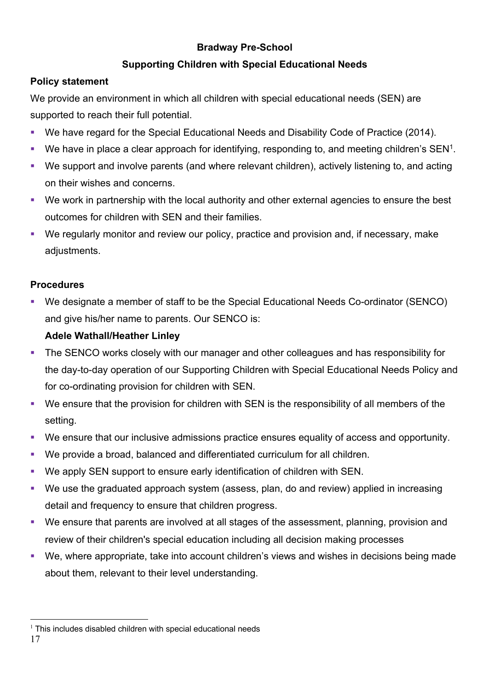# **Bradway Pre-School**

# **Supporting Children with Special Educational Needs**

# **Policy statement**

We provide an environment in which all children with special educational needs (SEN) are supported to reach their full potential.

- We have regard for the Special Educational Needs and Disability Code of Practice (2014).
- We have in place a clear approach for identifying, responding to, and meeting children's  $SEN<sup>1</sup>$ .
- We support and involve parents (and where relevant children), actively listening to, and acting on their wishes and concerns.
- We work in partnership with the local authority and other external agencies to ensure the best outcomes for children with SEN and their families.
- We regularly monitor and review our policy, practice and provision and, if necessary, make adjustments.

# **Procedures**

§ We designate a member of staff to be the Special Educational Needs Co-ordinator (SENCO) and give his/her name to parents. Our SENCO is:

# **Adele Wathall/Heather Linley**

- The SENCO works closely with our manager and other colleagues and has responsibility for the day-to-day operation of our Supporting Children with Special Educational Needs Policy and for co-ordinating provision for children with SEN.
- We ensure that the provision for children with SEN is the responsibility of all members of the setting.
- We ensure that our inclusive admissions practice ensures equality of access and opportunity.
- We provide a broad, balanced and differentiated curriculum for all children.
- We apply SEN support to ensure early identification of children with SEN.
- We use the graduated approach system (assess, plan, do and review) applied in increasing detail and frequency to ensure that children progress.
- We ensure that parents are involved at all stages of the assessment, planning, provision and review of their children's special education including all decision making processes
- We, where appropriate, take into account children's views and wishes in decisions being made about them, relevant to their level understanding.

 $1$  This includes disabled children with special educational needs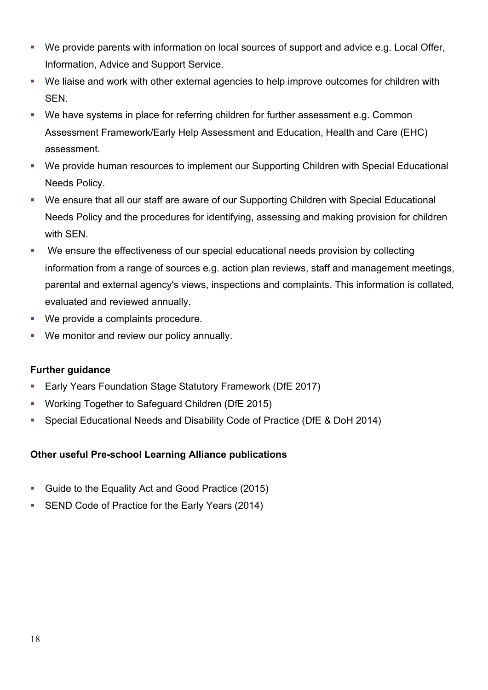- § We provide parents with information on local sources of support and advice e.g. Local Offer, Information, Advice and Support Service.
- We liaise and work with other external agencies to help improve outcomes for children with SEN.
- We have systems in place for referring children for further assessment e.g. Common Assessment Framework/Early Help Assessment and Education, Health and Care (EHC) assessment.
- We provide human resources to implement our Supporting Children with Special Educational Needs Policy.
- We ensure that all our staff are aware of our Supporting Children with Special Educational Needs Policy and the procedures for identifying, assessing and making provision for children with SEN.
- We ensure the effectiveness of our special educational needs provision by collecting information from a range of sources e.g. action plan reviews, staff and management meetings, parental and external agency's views, inspections and complaints. This information is collated, evaluated and reviewed annually.
- We provide a complaints procedure.
- We monitor and review our policy annually.

## **Further guidance**

- Early Years Foundation Stage Statutory Framework (DfE 2017)
- § Working Together to Safeguard Children (DfE 2015)
- § Special Educational Needs and Disability Code of Practice (DfE & DoH 2014)

## **Other useful Pre-school Learning Alliance publications**

- Guide to the Equality Act and Good Practice (2015)
- SEND Code of Practice for the Early Years (2014)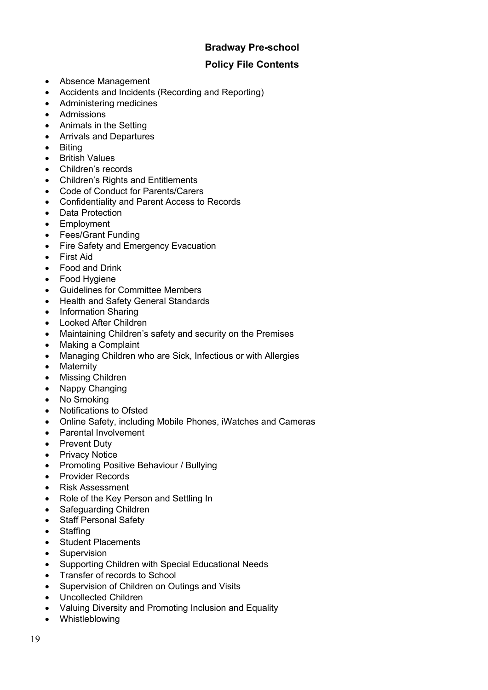## **Bradway Pre-school**

## **Policy File Contents**

- Absence Management
- Accidents and Incidents (Recording and Reporting)
- Administering medicines
- Admissions
- Animals in the Setting
- Arrivals and Departures
- Biting
- British Values
- Children's records
- Children's Rights and Entitlements
- Code of Conduct for Parents/Carers
- Confidentiality and Parent Access to Records
- Data Protection
- Employment
- Fees/Grant Funding
- Fire Safety and Emergency Evacuation
- First Aid
- Food and Drink
- Food Hygiene
- Guidelines for Committee Members
- Health and Safety General Standards
- Information Sharing
- Looked After Children
- Maintaining Children's safety and security on the Premises
- Making a Complaint
- Managing Children who are Sick, Infectious or with Allergies
- Maternity
- Missing Children
- Nappy Changing
- No Smoking
- Notifications to Ofsted
- Online Safety, including Mobile Phones, iWatches and Cameras
- Parental Involvement
- Prevent Duty
- Privacy Notice
- Promoting Positive Behaviour / Bullying
- Provider Records
- Risk Assessment
- Role of the Key Person and Settling In
- Safeguarding Children
- Staff Personal Safety
- Staffing
- Student Placements
- Supervision
- Supporting Children with Special Educational Needs
- Transfer of records to School
- Supervision of Children on Outings and Visits
- Uncollected Children
- Valuing Diversity and Promoting Inclusion and Equality
- Whistleblowing